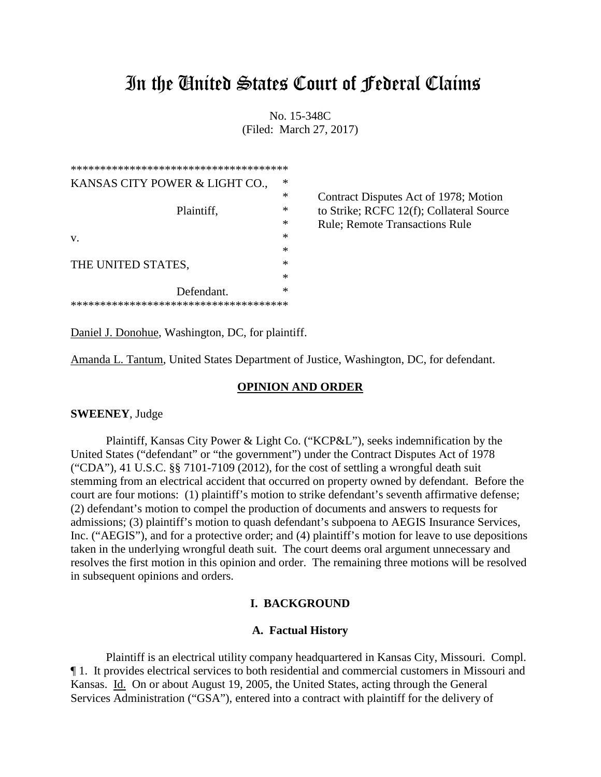# In the United States Court of Federal Claims

No. 15-348C (Filed: March 27, 2017)

| ************************************** |   |
|----------------------------------------|---|
| KANSAS CITY POWER & LIGHT CO.,         | * |
|                                        | * |
| Plaintiff,                             | * |
|                                        | * |
| V.                                     | * |
|                                        | * |
| THE UNITED STATES,                     | * |
|                                        | * |
| Defendant.                             | * |
| ************************************** |   |

Contract Disputes Act of 1978; Motion to Strike; RCFC 12(f); Collateral Source Rule: Remote Transactions Rule

Daniel J. Donohue, Washington, DC, for plaintiff.

Amanda L. Tantum, United States Department of Justice, Washington, DC, for defendant.

## **OPINION AND ORDER**

## **SWEENEY**, Judge

Plaintiff, Kansas City Power & Light Co. ("KCP&L"), seeks indemnification by the United States ("defendant" or "the government") under the Contract Disputes Act of 1978 ("CDA"), 41 U.S.C. §§ 7101-7109 (2012), for the cost of settling a wrongful death suit stemming from an electrical accident that occurred on property owned by defendant. Before the court are four motions: (1) plaintiff's motion to strike defendant's seventh affirmative defense; (2) defendant's motion to compel the production of documents and answers to requests for admissions; (3) plaintiff's motion to quash defendant's subpoena to AEGIS Insurance Services, Inc. ("AEGIS"), and for a protective order; and (4) plaintiff's motion for leave to use depositions taken in the underlying wrongful death suit. The court deems oral argument unnecessary and resolves the first motion in this opinion and order. The remaining three motions will be resolved in subsequent opinions and orders.

## **I. BACKGROUND**

## **A. Factual History**

Plaintiff is an electrical utility company headquartered in Kansas City, Missouri. Compl. ¶ 1. It provides electrical services to both residential and commercial customers in Missouri and Kansas. Id. On or about August 19, 2005, the United States, acting through the General Services Administration ("GSA"), entered into a contract with plaintiff for the delivery of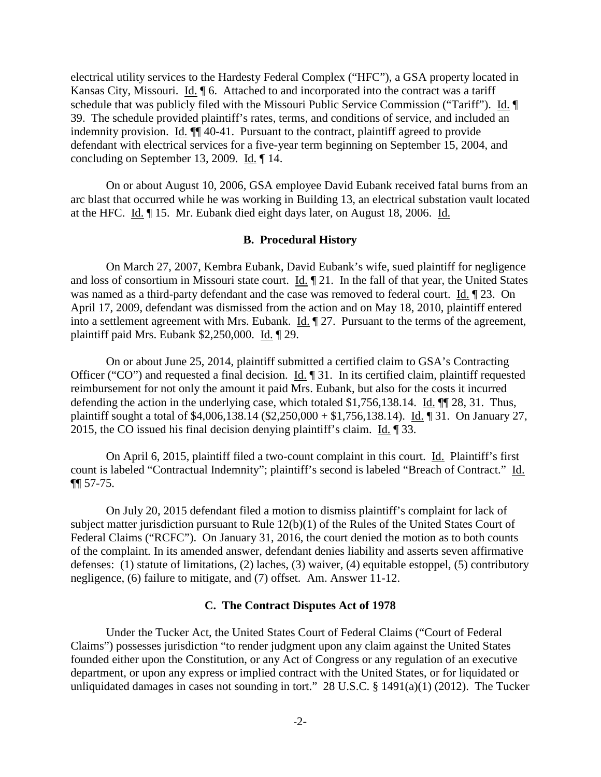electrical utility services to the Hardesty Federal Complex ("HFC"), a GSA property located in Kansas City, Missouri. Id. ¶ 6. Attached to and incorporated into the contract was a tariff schedule that was publicly filed with the Missouri Public Service Commission ("Tariff"). Id. 39. The schedule provided plaintiff's rates, terms, and conditions of service, and included an indemnity provision. Id. ¶¶ 40-41. Pursuant to the contract, plaintiff agreed to provide defendant with electrical services for a five-year term beginning on September 15, 2004, and concluding on September 13, 2009. Id. ¶ 14.

On or about August 10, 2006, GSA employee David Eubank received fatal burns from an arc blast that occurred while he was working in Building 13, an electrical substation vault located at the HFC. Id. ¶ 15. Mr. Eubank died eight days later, on August 18, 2006. Id.

#### **B. Procedural History**

On March 27, 2007, Kembra Eubank, David Eubank's wife, sued plaintiff for negligence and loss of consortium in Missouri state court. Id. ¶ 21. In the fall of that year, the United States was named as a third-party defendant and the case was removed to federal court. Id. ¶ 23. On April 17, 2009, defendant was dismissed from the action and on May 18, 2010, plaintiff entered into a settlement agreement with Mrs. Eubank. Id. ¶ 27. Pursuant to the terms of the agreement, plaintiff paid Mrs. Eubank \$2,250,000. Id. 129.

On or about June 25, 2014, plaintiff submitted a certified claim to GSA's Contracting Officer ("CO") and requested a final decision. Id. ¶ 31. In its certified claim, plaintiff requested reimbursement for not only the amount it paid Mrs. Eubank, but also for the costs it incurred defending the action in the underlying case, which totaled \$1,756,138.14. Id. ¶¶ 28, 31. Thus, plaintiff sought a total of \$4,006,138.14 (\$2,250,000 + \$1,756,138.14). Id. ¶ 31. On January 27, 2015, the CO issued his final decision denying plaintiff's claim. Id. ¶ 33.

On April 6, 2015, plaintiff filed a two-count complaint in this court. Id. Plaintiff's first count is labeled "Contractual Indemnity"; plaintiff's second is labeled "Breach of Contract." Id. ¶¶ 57-75.

On July 20, 2015 defendant filed a motion to dismiss plaintiff's complaint for lack of subject matter jurisdiction pursuant to Rule 12(b)(1) of the Rules of the United States Court of Federal Claims ("RCFC"). On January 31, 2016, the court denied the motion as to both counts of the complaint. In its amended answer, defendant denies liability and asserts seven affirmative defenses: (1) statute of limitations, (2) laches, (3) waiver, (4) equitable estoppel, (5) contributory negligence, (6) failure to mitigate, and (7) offset. Am. Answer 11-12.

# **C. The Contract Disputes Act of 1978**

Under the Tucker Act, the United States Court of Federal Claims ("Court of Federal Claims") possesses jurisdiction "to render judgment upon any claim against the United States founded either upon the Constitution, or any Act of Congress or any regulation of an executive department, or upon any express or implied contract with the United States, or for liquidated or unliquidated damages in cases not sounding in tort." 28 U.S.C.  $\S$  1491(a)(1) (2012). The Tucker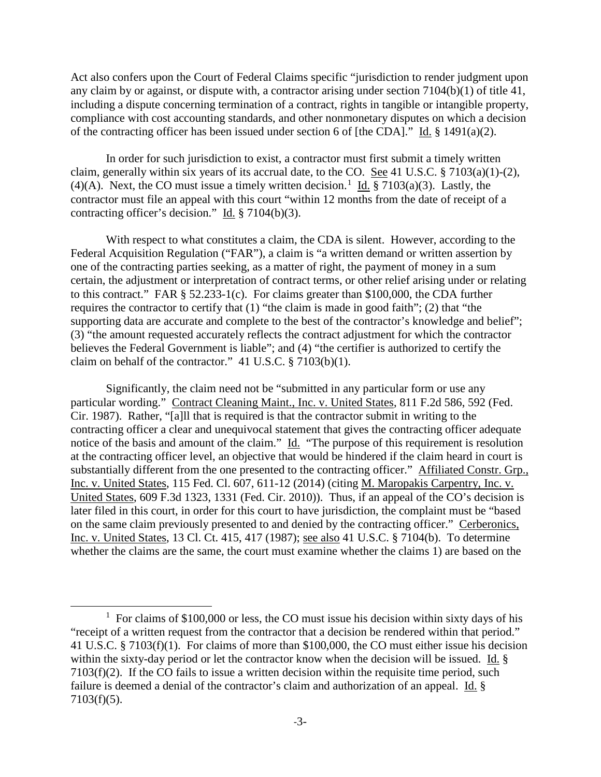Act also confers upon the Court of Federal Claims specific "jurisdiction to render judgment upon any claim by or against, or dispute with, a contractor arising under section 7104(b)(1) of title 41, including a dispute concerning termination of a contract, rights in tangible or intangible property, compliance with cost accounting standards, and other nonmonetary disputes on which a decision of the contracting officer has been issued under section 6 of [the CDA]." Id. § 1491(a)(2).

In order for such jurisdiction to exist, a contractor must first submit a timely written claim, generally within six years of its accrual date, to the CO. See 41 U.S.C. § 7103(a)(1)-(2), (4)(A). Next, the CO must issue a timely written decision.<sup>1</sup> Id. § 7103(a)(3). Lastly, the contractor must file an appeal with this court "within 12 months from the date of receipt of a contracting officer's decision." Id.  $\S 7104(b)(3)$ .

With respect to what constitutes a claim, the CDA is silent. However, according to the Federal Acquisition Regulation ("FAR"), a claim is "a written demand or written assertion by one of the contracting parties seeking, as a matter of right, the payment of money in a sum certain, the adjustment or interpretation of contract terms, or other relief arising under or relating to this contract." FAR § 52.233-1(c). For claims greater than \$100,000, the CDA further requires the contractor to certify that (1) "the claim is made in good faith"; (2) that "the supporting data are accurate and complete to the best of the contractor's knowledge and belief"; (3) "the amount requested accurately reflects the contract adjustment for which the contractor believes the Federal Government is liable"; and (4) "the certifier is authorized to certify the claim on behalf of the contractor." 41 U.S.C. § 7103(b)(1).

Significantly, the claim need not be "submitted in any particular form or use any particular wording." Contract Cleaning Maint., Inc. v. United States, 811 F.2d 586, 592 (Fed. Cir. 1987). Rather, "[a]ll that is required is that the contractor submit in writing to the contracting officer a clear and unequivocal statement that gives the contracting officer adequate notice of the basis and amount of the claim." Id. "The purpose of this requirement is resolution at the contracting officer level, an objective that would be hindered if the claim heard in court is substantially different from the one presented to the contracting officer." Affiliated Constr. Grp., Inc. v. United States, 115 Fed. Cl. 607, 611-12 (2014) (citing M. Maropakis Carpentry, Inc. v. United States, 609 F.3d 1323, 1331 (Fed. Cir. 2010)). Thus, if an appeal of the CO's decision is later filed in this court, in order for this court to have jurisdiction, the complaint must be "based on the same claim previously presented to and denied by the contracting officer." Cerberonics, Inc. v. United States, 13 Cl. Ct. 415, 417 (1987); see also 41 U.S.C. § 7104(b). To determine whether the claims are the same, the court must examine whether the claims 1) are based on the

l

 $1$  For claims of \$100,000 or less, the CO must issue his decision within sixty days of his "receipt of a written request from the contractor that a decision be rendered within that period." 41 U.S.C. § 7103(f)(1). For claims of more than \$100,000, the CO must either issue his decision within the sixty-day period or let the contractor know when the decision will be issued. Id. § 7103(f)(2). If the CO fails to issue a written decision within the requisite time period, such failure is deemed a denial of the contractor's claim and authorization of an appeal. Id. § 7103(f)(5).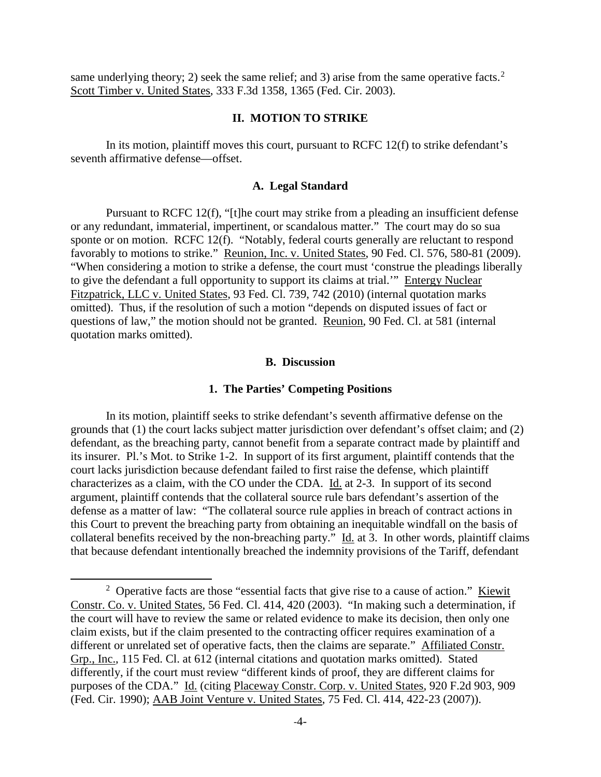same underlying theory; 2) seek the same relief; and 3) arise from the same operative facts.<sup>2</sup> Scott Timber v. United States, 333 F.3d 1358, 1365 (Fed. Cir. 2003).

## **II. MOTION TO STRIKE**

In its motion, plaintiff moves this court, pursuant to RCFC 12(f) to strike defendant's seventh affirmative defense—offset.

## **A. Legal Standard**

Pursuant to RCFC 12(f), "[t]he court may strike from a pleading an insufficient defense or any redundant, immaterial, impertinent, or scandalous matter." The court may do so sua sponte or on motion. RCFC 12(f). "Notably, federal courts generally are reluctant to respond favorably to motions to strike." Reunion, Inc. v. United States, 90 Fed. Cl. 576, 580-81 (2009). "When considering a motion to strike a defense, the court must 'construe the pleadings liberally to give the defendant a full opportunity to support its claims at trial.'" Entergy Nuclear Fitzpatrick, LLC v. United States, 93 Fed. Cl. 739, 742 (2010) (internal quotation marks omitted). Thus, if the resolution of such a motion "depends on disputed issues of fact or questions of law," the motion should not be granted. Reunion, 90 Fed. Cl. at 581 (internal quotation marks omitted).

# **B. Discussion**

#### **1. The Parties' Competing Positions**

In its motion, plaintiff seeks to strike defendant's seventh affirmative defense on the grounds that (1) the court lacks subject matter jurisdiction over defendant's offset claim; and (2) defendant, as the breaching party, cannot benefit from a separate contract made by plaintiff and its insurer. Pl.'s Mot. to Strike 1-2. In support of its first argument, plaintiff contends that the court lacks jurisdiction because defendant failed to first raise the defense, which plaintiff characterizes as a claim, with the CO under the CDA. Id. at 2-3. In support of its second argument, plaintiff contends that the collateral source rule bars defendant's assertion of the defense as a matter of law: "The collateral source rule applies in breach of contract actions in this Court to prevent the breaching party from obtaining an inequitable windfall on the basis of collateral benefits received by the non-breaching party." Id. at 3. In other words, plaintiff claims that because defendant intentionally breached the indemnity provisions of the Tariff, defendant

 $\overline{\phantom{a}}$ 

<sup>&</sup>lt;sup>2</sup> Operative facts are those "essential facts that give rise to a cause of action." <u>Kiewit</u> Constr. Co. v. United States, 56 Fed. Cl. 414, 420 (2003). "In making such a determination, if the court will have to review the same or related evidence to make its decision, then only one claim exists, but if the claim presented to the contracting officer requires examination of a different or unrelated set of operative facts, then the claims are separate." Affiliated Constr. Grp., Inc., 115 Fed. Cl. at 612 (internal citations and quotation marks omitted). Stated differently, if the court must review "different kinds of proof, they are different claims for purposes of the CDA." Id. (citing Placeway Constr. Corp. v. United States, 920 F.2d 903, 909 (Fed. Cir. 1990); AAB Joint Venture v. United States, 75 Fed. Cl. 414, 422-23 (2007)).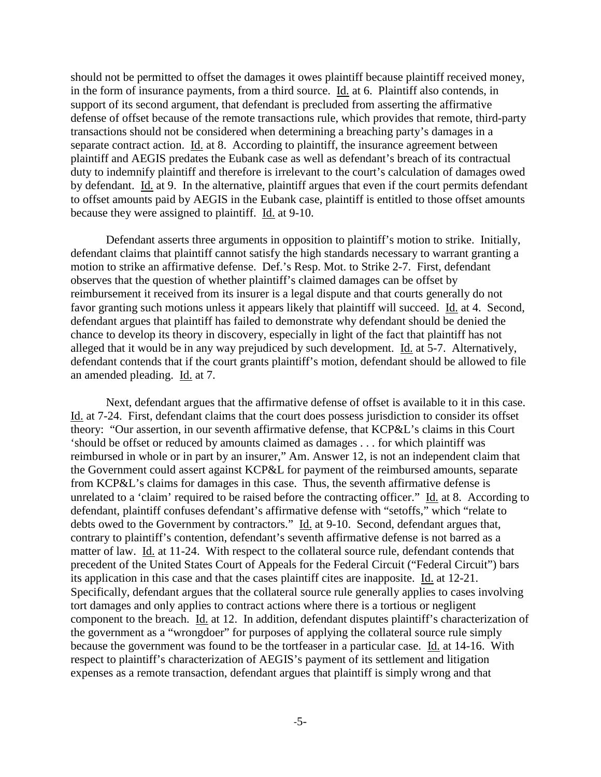should not be permitted to offset the damages it owes plaintiff because plaintiff received money, in the form of insurance payments, from a third source. Id. at 6. Plaintiff also contends, in support of its second argument, that defendant is precluded from asserting the affirmative defense of offset because of the remote transactions rule, which provides that remote, third-party transactions should not be considered when determining a breaching party's damages in a separate contract action. Id. at 8. According to plaintiff, the insurance agreement between plaintiff and AEGIS predates the Eubank case as well as defendant's breach of its contractual duty to indemnify plaintiff and therefore is irrelevant to the court's calculation of damages owed by defendant. Id. at 9. In the alternative, plaintiff argues that even if the court permits defendant to offset amounts paid by AEGIS in the Eubank case, plaintiff is entitled to those offset amounts because they were assigned to plaintiff. Id. at 9-10.

Defendant asserts three arguments in opposition to plaintiff's motion to strike. Initially, defendant claims that plaintiff cannot satisfy the high standards necessary to warrant granting a motion to strike an affirmative defense. Def.'s Resp. Mot. to Strike 2-7. First, defendant observes that the question of whether plaintiff's claimed damages can be offset by reimbursement it received from its insurer is a legal dispute and that courts generally do not favor granting such motions unless it appears likely that plaintiff will succeed. Id. at 4. Second, defendant argues that plaintiff has failed to demonstrate why defendant should be denied the chance to develop its theory in discovery, especially in light of the fact that plaintiff has not alleged that it would be in any way prejudiced by such development. Id. at 5-7. Alternatively, defendant contends that if the court grants plaintiff's motion, defendant should be allowed to file an amended pleading. Id. at 7.

Next, defendant argues that the affirmative defense of offset is available to it in this case. Id. at 7-24. First, defendant claims that the court does possess jurisdiction to consider its offset theory: "Our assertion, in our seventh affirmative defense, that KCP&L's claims in this Court 'should be offset or reduced by amounts claimed as damages . . . for which plaintiff was reimbursed in whole or in part by an insurer," Am. Answer 12, is not an independent claim that the Government could assert against KCP&L for payment of the reimbursed amounts, separate from KCP&L's claims for damages in this case. Thus, the seventh affirmative defense is unrelated to a 'claim' required to be raised before the contracting officer." Id. at 8. According to defendant, plaintiff confuses defendant's affirmative defense with "setoffs," which "relate to debts owed to the Government by contractors." Id. at 9-10. Second, defendant argues that, contrary to plaintiff's contention, defendant's seventh affirmative defense is not barred as a matter of law. Id. at 11-24. With respect to the collateral source rule, defendant contends that precedent of the United States Court of Appeals for the Federal Circuit ("Federal Circuit") bars its application in this case and that the cases plaintiff cites are inapposite. Id. at 12-21. Specifically, defendant argues that the collateral source rule generally applies to cases involving tort damages and only applies to contract actions where there is a tortious or negligent component to the breach. Id. at 12. In addition, defendant disputes plaintiff's characterization of the government as a "wrongdoer" for purposes of applying the collateral source rule simply because the government was found to be the tortfeaser in a particular case. Id. at 14-16. With respect to plaintiff's characterization of AEGIS's payment of its settlement and litigation expenses as a remote transaction, defendant argues that plaintiff is simply wrong and that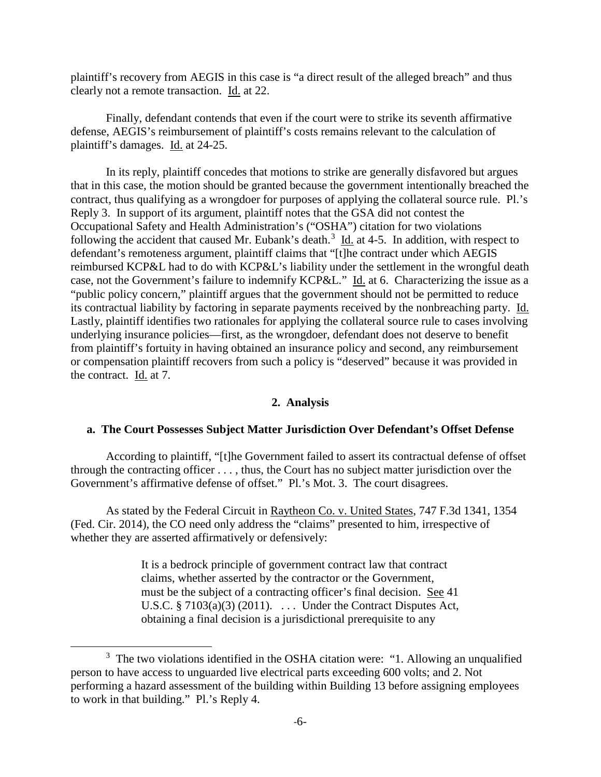plaintiff's recovery from AEGIS in this case is "a direct result of the alleged breach" and thus clearly not a remote transaction. Id. at 22.

Finally, defendant contends that even if the court were to strike its seventh affirmative defense, AEGIS's reimbursement of plaintiff's costs remains relevant to the calculation of plaintiff's damages. Id. at 24-25.

In its reply, plaintiff concedes that motions to strike are generally disfavored but argues that in this case, the motion should be granted because the government intentionally breached the contract, thus qualifying as a wrongdoer for purposes of applying the collateral source rule. Pl.'s Reply 3. In support of its argument, plaintiff notes that the GSA did not contest the Occupational Safety and Health Administration's ("OSHA") citation for two violations following the accident that caused Mr. Eubank's death.<sup>3</sup>  $\underline{Id}$  at 4-5. In addition, with respect to defendant's remoteness argument, plaintiff claims that "[t]he contract under which AEGIS reimbursed KCP&L had to do with KCP&L's liability under the settlement in the wrongful death case, not the Government's failure to indemnify KCP&L." Id. at 6. Characterizing the issue as a "public policy concern," plaintiff argues that the government should not be permitted to reduce its contractual liability by factoring in separate payments received by the nonbreaching party. Id. Lastly, plaintiff identifies two rationales for applying the collateral source rule to cases involving underlying insurance policies—first, as the wrongdoer, defendant does not deserve to benefit from plaintiff's fortuity in having obtained an insurance policy and second, any reimbursement or compensation plaintiff recovers from such a policy is "deserved" because it was provided in the contract. Id. at 7.

# **2. Analysis**

# **a. The Court Possesses Subject Matter Jurisdiction Over Defendant's Offset Defense**

According to plaintiff, "[t]he Government failed to assert its contractual defense of offset through the contracting officer . . . , thus, the Court has no subject matter jurisdiction over the Government's affirmative defense of offset." Pl.'s Mot. 3. The court disagrees.

As stated by the Federal Circuit in Raytheon Co. v. United States, 747 F.3d 1341, 1354 (Fed. Cir. 2014), the CO need only address the "claims" presented to him, irrespective of whether they are asserted affirmatively or defensively:

> It is a bedrock principle of government contract law that contract claims, whether asserted by the contractor or the Government, must be the subject of a contracting officer's final decision. See 41 U.S.C.  $\S 7103(a)(3)$  (2011). ... Under the Contract Disputes Act, obtaining a final decision is a jurisdictional prerequisite to any

 $\overline{\phantom{a}}$ 

 $3$  The two violations identified in the OSHA citation were: "1. Allowing an unqualified person to have access to unguarded live electrical parts exceeding 600 volts; and 2. Not performing a hazard assessment of the building within Building 13 before assigning employees to work in that building." Pl.'s Reply 4.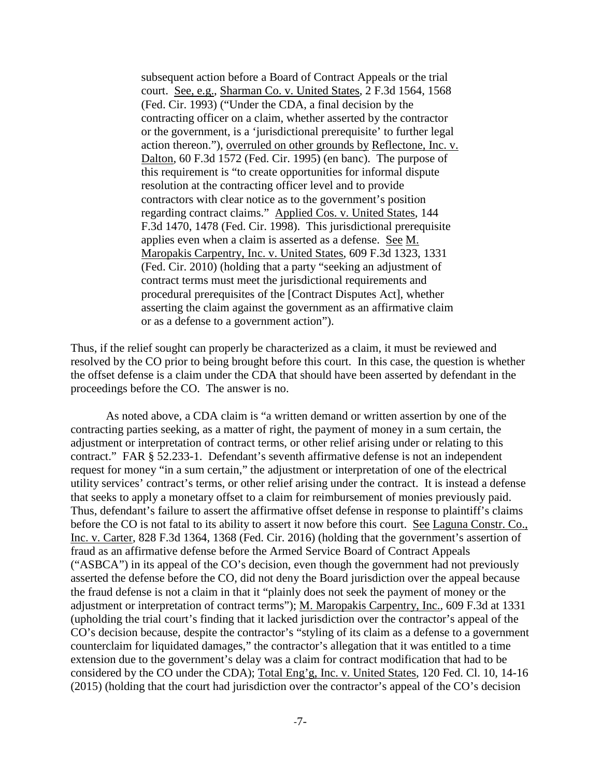subsequent action before a Board of Contract Appeals or the trial court. See, e.g., Sharman Co. v. United States, 2 F.3d 1564, 1568 (Fed. Cir. 1993) ("Under the CDA, a final decision by the contracting officer on a claim, whether asserted by the contractor or the government, is a 'jurisdictional prerequisite' to further legal action thereon."), overruled on other grounds by Reflectone, Inc. v. Dalton, 60 F.3d 1572 (Fed. Cir. 1995) (en banc). The purpose of this requirement is "to create opportunities for informal dispute resolution at the contracting officer level and to provide contractors with clear notice as to the government's position regarding contract claims." Applied Cos. v. United States, 144 F.3d 1470, 1478 (Fed. Cir. 1998). This jurisdictional prerequisite applies even when a claim is asserted as a defense. See M. Maropakis Carpentry, Inc. v. United States, 609 F.3d 1323, 1331 (Fed. Cir. 2010) (holding that a party "seeking an adjustment of contract terms must meet the jurisdictional requirements and procedural prerequisites of the [Contract Disputes Act], whether asserting the claim against the government as an affirmative claim or as a defense to a government action").

Thus, if the relief sought can properly be characterized as a claim, it must be reviewed and resolved by the CO prior to being brought before this court. In this case, the question is whether the offset defense is a claim under the CDA that should have been asserted by defendant in the proceedings before the CO. The answer is no.

As noted above, a CDA claim is "a written demand or written assertion by one of the contracting parties seeking, as a matter of right, the payment of money in a sum certain, the adjustment or interpretation of contract terms, or other relief arising under or relating to this contract." FAR § 52.233-1. Defendant's seventh affirmative defense is not an independent request for money "in a sum certain," the adjustment or interpretation of one of the electrical utility services' contract's terms, or other relief arising under the contract. It is instead a defense that seeks to apply a monetary offset to a claim for reimbursement of monies previously paid. Thus, defendant's failure to assert the affirmative offset defense in response to plaintiff's claims before the CO is not fatal to its ability to assert it now before this court. See Laguna Constr. Co., Inc. v. Carter, 828 F.3d 1364, 1368 (Fed. Cir. 2016) (holding that the government's assertion of fraud as an affirmative defense before the Armed Service Board of Contract Appeals ("ASBCA") in its appeal of the CO's decision, even though the government had not previously asserted the defense before the CO, did not deny the Board jurisdiction over the appeal because the fraud defense is not a claim in that it "plainly does not seek the payment of money or the adjustment or interpretation of contract terms"); M. Maropakis Carpentry, Inc., 609 F.3d at 1331 (upholding the trial court's finding that it lacked jurisdiction over the contractor's appeal of the CO's decision because, despite the contractor's "styling of its claim as a defense to a government counterclaim for liquidated damages," the contractor's allegation that it was entitled to a time extension due to the government's delay was a claim for contract modification that had to be considered by the CO under the CDA); Total Eng'g, Inc. v. United States, 120 Fed. Cl. 10, 14-16 (2015) (holding that the court had jurisdiction over the contractor's appeal of the CO's decision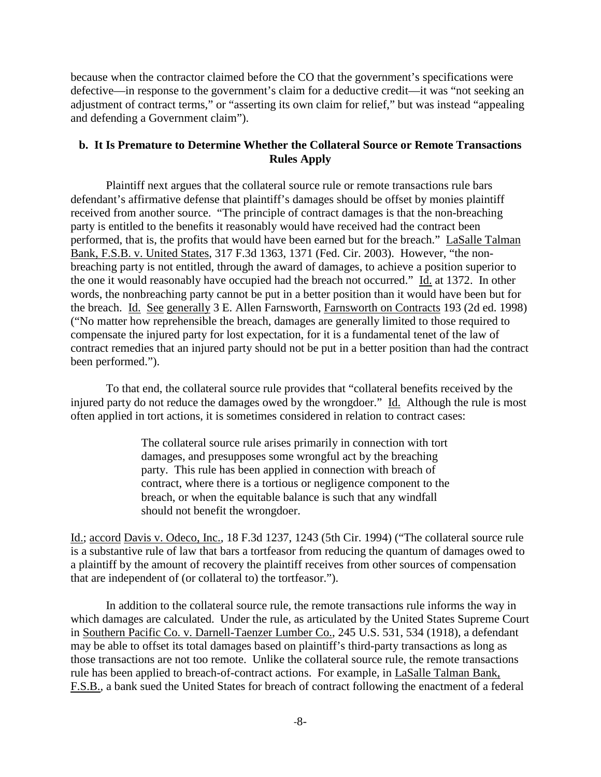because when the contractor claimed before the CO that the government's specifications were defective—in response to the government's claim for a deductive credit—it was "not seeking an adjustment of contract terms," or "asserting its own claim for relief," but was instead "appealing and defending a Government claim").

# **b. It Is Premature to Determine Whether the Collateral Source or Remote Transactions Rules Apply**

Plaintiff next argues that the collateral source rule or remote transactions rule bars defendant's affirmative defense that plaintiff's damages should be offset by monies plaintiff received from another source. "The principle of contract damages is that the non-breaching party is entitled to the benefits it reasonably would have received had the contract been performed, that is, the profits that would have been earned but for the breach." LaSalle Talman Bank, F.S.B. v. United States, 317 F.3d 1363, 1371 (Fed. Cir. 2003). However, "the nonbreaching party is not entitled, through the award of damages, to achieve a position superior to the one it would reasonably have occupied had the breach not occurred." Id. at 1372. In other words, the nonbreaching party cannot be put in a better position than it would have been but for the breach. Id. See generally 3 E. Allen Farnsworth, Farnsworth on Contracts 193 (2d ed. 1998) ("No matter how reprehensible the breach, damages are generally limited to those required to compensate the injured party for lost expectation, for it is a fundamental tenet of the law of contract remedies that an injured party should not be put in a better position than had the contract been performed.").

 To that end, the collateral source rule provides that "collateral benefits received by the injured party do not reduce the damages owed by the wrongdoer." Id. Although the rule is most often applied in tort actions, it is sometimes considered in relation to contract cases:

> The collateral source rule arises primarily in connection with tort damages, and presupposes some wrongful act by the breaching party. This rule has been applied in connection with breach of contract, where there is a tortious or negligence component to the breach, or when the equitable balance is such that any windfall should not benefit the wrongdoer.

Id.; accord Davis v. Odeco, Inc., 18 F.3d 1237, 1243 (5th Cir. 1994) ("The collateral source rule is a substantive rule of law that bars a tortfeasor from reducing the quantum of damages owed to a plaintiff by the amount of recovery the plaintiff receives from other sources of compensation that are independent of (or collateral to) the tortfeasor.").

In addition to the collateral source rule, the remote transactions rule informs the way in which damages are calculated. Under the rule, as articulated by the United States Supreme Court in Southern Pacific Co. v. Darnell-Taenzer Lumber Co., 245 U.S. 531, 534 (1918), a defendant may be able to offset its total damages based on plaintiff's third-party transactions as long as those transactions are not too remote. Unlike the collateral source rule, the remote transactions rule has been applied to breach-of-contract actions. For example, in LaSalle Talman Bank, F.S.B., a bank sued the United States for breach of contract following the enactment of a federal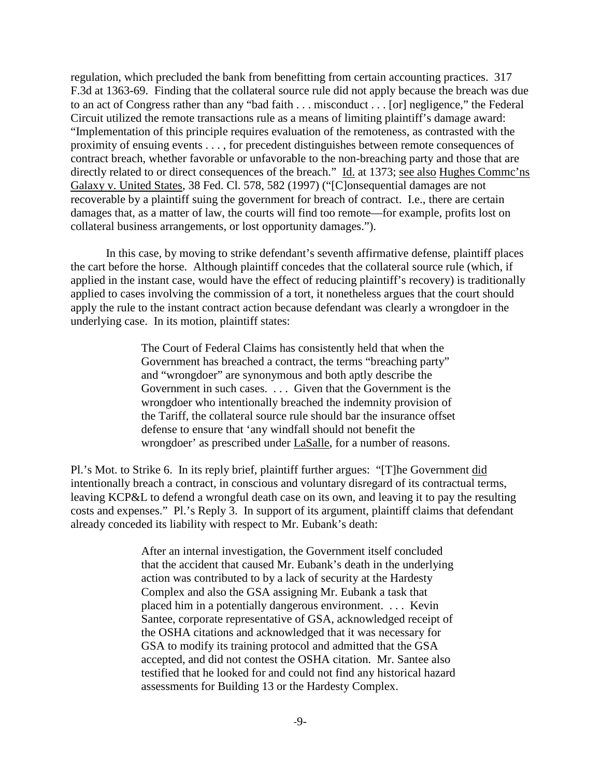regulation, which precluded the bank from benefitting from certain accounting practices. 317 F.3d at 1363-69. Finding that the collateral source rule did not apply because the breach was due to an act of Congress rather than any "bad faith . . . misconduct . . . [or] negligence," the Federal Circuit utilized the remote transactions rule as a means of limiting plaintiff's damage award: "Implementation of this principle requires evaluation of the remoteness, as contrasted with the proximity of ensuing events . . . , for precedent distinguishes between remote consequences of contract breach, whether favorable or unfavorable to the non-breaching party and those that are directly related to or direct consequences of the breach." Id. at 1373; see also Hughes Commc'ns Galaxy v. United States, 38 Fed. Cl. 578, 582 (1997) ("[C]onsequential damages are not recoverable by a plaintiff suing the government for breach of contract. I.e., there are certain damages that, as a matter of law, the courts will find too remote—for example, profits lost on collateral business arrangements, or lost opportunity damages.").

In this case, by moving to strike defendant's seventh affirmative defense, plaintiff places the cart before the horse. Although plaintiff concedes that the collateral source rule (which, if applied in the instant case, would have the effect of reducing plaintiff's recovery) is traditionally applied to cases involving the commission of a tort, it nonetheless argues that the court should apply the rule to the instant contract action because defendant was clearly a wrongdoer in the underlying case. In its motion, plaintiff states:

> The Court of Federal Claims has consistently held that when the Government has breached a contract, the terms "breaching party" and "wrongdoer" are synonymous and both aptly describe the Government in such cases. . . . Given that the Government is the wrongdoer who intentionally breached the indemnity provision of the Tariff, the collateral source rule should bar the insurance offset defense to ensure that 'any windfall should not benefit the wrongdoer' as prescribed under LaSalle, for a number of reasons.

Pl.'s Mot. to Strike 6. In its reply brief, plaintiff further argues: "[T]he Government did intentionally breach a contract, in conscious and voluntary disregard of its contractual terms, leaving KCP&L to defend a wrongful death case on its own, and leaving it to pay the resulting costs and expenses." Pl.'s Reply 3. In support of its argument, plaintiff claims that defendant already conceded its liability with respect to Mr. Eubank's death:

> After an internal investigation, the Government itself concluded that the accident that caused Mr. Eubank's death in the underlying action was contributed to by a lack of security at the Hardesty Complex and also the GSA assigning Mr. Eubank a task that placed him in a potentially dangerous environment. . . . Kevin Santee, corporate representative of GSA, acknowledged receipt of the OSHA citations and acknowledged that it was necessary for GSA to modify its training protocol and admitted that the GSA accepted, and did not contest the OSHA citation. Mr. Santee also testified that he looked for and could not find any historical hazard assessments for Building 13 or the Hardesty Complex.